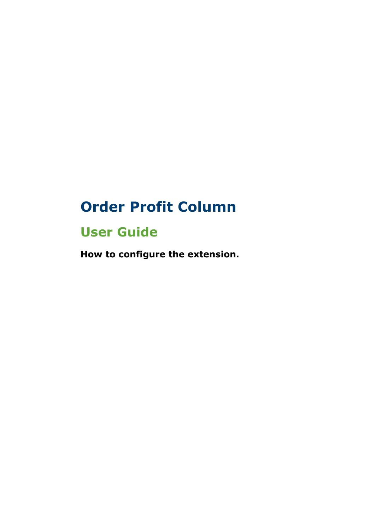## **Order Profit Column**

## **User Guide**

**How to configure the extension.**